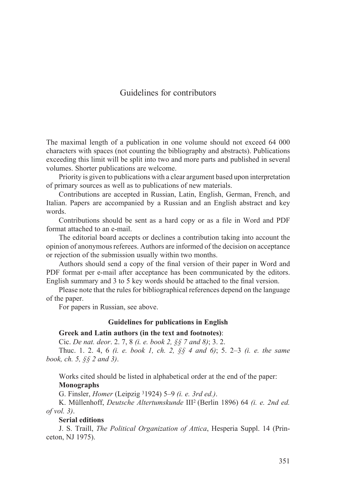# Guidelines for contributors

The maximal length of a publication in one volume should not exceed 64 000 characters with spaces (not counting the bibliography and abstracts). Publications exceeding this limit will be split into two and more parts and published in several volumes. Shorter publications are welcome.

Priority is given to publications with a clear argument based upon interpretation of primary sources as well as to publications of new materials.

Contributions are accepted in Russian, Latin, English, German, French, and Italian. Papers are accompanied by a Russian and an English abstract and key words.

Contributions should be sent as a hard copy or as a file in Word and PDF format attached to an e-mail.

The editorial board accepts or declines a contribution taking into account the opinion of anonymous referees. Authors are informed of the decision on acceptance or rejection of the submission usually within two months.

Authors should send a copy of the final version of their paper in Word and PDF format per e-mail after acceptance has been communicated by the editors. English summary and 3 to 5 key words should be attached to the final version.

Please note that the rules for bibliographical references depend on the language of the paper.

For papers in Russian, see above.

#### **Guidelines for publications in English**

#### **Greek and Latin authors (in the text and footnotes)**:

Cic. *De nat. deor*. 2. 7, 8 *(i. е. book 2, §§ 7 and 8)*; 3. 2.

Thuc. 1. 2. 4, 6 *(i. e. book 1, ch. 2, §§ 4 and 6)*; 5. 2–3 *(i. e. the same book, ch. 5, §§ 2 and 3)*.

Works cited should be listed in alphabetical order at the end of the paper: **Monographs**

G. Finsler, *Homer* (Leipzig 31924) 5–9 *(i. e. 3rd ed.)*.

K. Müllenhoff, *Deutsche Altertumskunde* III2 (Berlin 1896) 64 *(i. e. 2nd ed. of vol. 3)*.

**Serial editions**

J. S. Traill, *The Political Organization of Attica*, Hesperia Suppl. 14 (Princeton, NJ 1975).